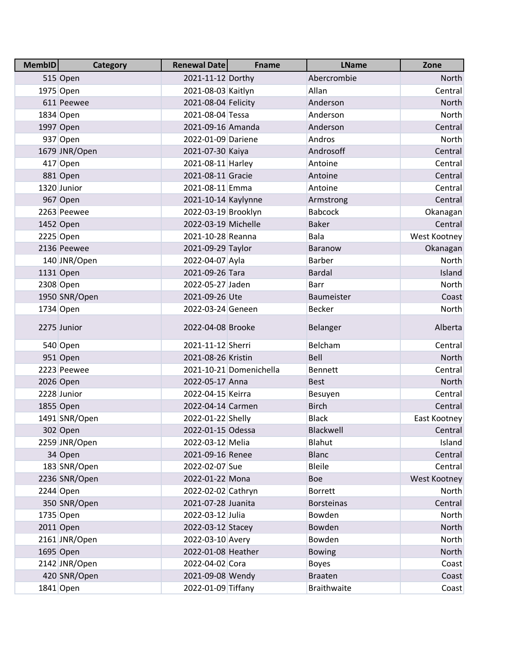| <b>MembID</b> | <b>Category</b> | Renewal Date        | <b>Fname</b>            | <b>LName</b>       | Zone          |
|---------------|-----------------|---------------------|-------------------------|--------------------|---------------|
|               | 515 Open        | 2021-11-12 Dorthy   |                         | Abercrombie        | <b>North</b>  |
|               | 1975 Open       | 2021-08-03 Kaitlyn  |                         | Allan              | Central       |
|               | 611 Peewee      | 2021-08-04 Felicity |                         | Anderson           | <b>North</b>  |
|               | 1834 Open       | 2021-08-04 Tessa    |                         | Anderson           | North         |
|               | 1997 Open       | 2021-09-16 Amanda   |                         | Anderson           | Central       |
|               | 937 Open        | 2022-01-09 Dariene  |                         | Andros             | North         |
|               | 1679 JNR/Open   | 2021-07-30 Kaiya    |                         | Androsoff          | Central       |
|               | 417 Open        | 2021-08-11 Harley   |                         | Antoine            | Central       |
|               | 881 Open        | 2021-08-11 Gracie   |                         | Antoine            | Central       |
|               | 1320 Junior     | 2021-08-11 Emma     |                         | Antoine            | Central       |
|               | 967 Open        | 2021-10-14 Kaylynne |                         | Armstrong          | Central       |
|               | 2263 Peewee     | 2022-03-19 Brooklyn |                         | <b>Babcock</b>     | Okanagan      |
|               | 1452 Open       | 2022-03-19 Michelle |                         | <b>Baker</b>       | Central       |
|               | 2225 Open       | 2021-10-28 Reanna   |                         | Bala               | West Kootney  |
|               | 2136 Peewee     | 2021-09-29 Taylor   |                         | Baranow            | Okanagan      |
|               | 140 JNR/Open    | 2022-04-07 Ayla     |                         | <b>Barber</b>      | <b>North</b>  |
|               | 1131 Open       | 2021-09-26 Tara     |                         | <b>Bardal</b>      | Island        |
|               | 2308 Open       | 2022-05-27 Jaden    |                         | Barr               | North         |
|               | 1950 SNR/Open   | 2021-09-26 Ute      |                         | Baumeister         | Coast         |
|               | 1734 Open       | 2022-03-24 Geneen   |                         | Becker             | North         |
|               | 2275 Junior     | 2022-04-08 Brooke   |                         | Belanger           | Alberta       |
|               | 540 Open        | 2021-11-12 Sherri   |                         | Belcham            | Central       |
|               | 951 Open        | 2021-08-26 Kristin  |                         | Bell               | North         |
|               | 2223 Peewee     |                     | 2021-10-21 Domenichella | <b>Bennett</b>     | Central       |
|               | 2026 Open       | 2022-05-17 Anna     |                         | <b>Best</b>        | <b>North</b>  |
|               | 2228 Junior     | 2022-04-15 Keirra   |                         | Besuyen            | Central       |
|               | 1855 Open       | 2022-04-14 Carmen   |                         | <b>Birch</b>       | Central       |
|               | 1491 SNR/Open   | 2022-01-22 Shelly   |                         | <b>Black</b>       | East Kootney  |
|               | 302 Open        | 2022-01-15 Odessa   |                         | Blackwell          | Central       |
|               | 2259 JNR/Open   | 2022-03-12 Melia    |                         | Blahut             | <b>Island</b> |
|               | 34 Open         | 2021-09-16 Renee    |                         | <b>Blanc</b>       | Central       |
|               | 183 SNR/Open    | 2022-02-07 Sue      |                         | <b>Bleile</b>      | Central       |
|               | 2236 SNR/Open   | 2022-01-22 Mona     |                         | <b>Boe</b>         | West Kootney  |
|               | 2244 Open       | 2022-02-02 Cathryn  |                         | <b>Borrett</b>     | <b>North</b>  |
|               | 350 SNR/Open    | 2021-07-28 Juanita  |                         | <b>Borsteinas</b>  | Central       |
|               | 1735 Open       | 2022-03-12 Julia    |                         | Bowden             | <b>North</b>  |
|               | 2011 Open       | 2022-03-12 Stacey   |                         | Bowden             | <b>North</b>  |
|               | 2161 JNR/Open   | 2022-03-10 Avery    |                         | Bowden             | <b>North</b>  |
|               | 1695 Open       | 2022-01-08 Heather  |                         | <b>Bowing</b>      | North         |
|               | 2142 JNR/Open   | 2022-04-02 Cora     |                         | <b>Boyes</b>       | Coast         |
|               | 420 SNR/Open    | 2021-09-08 Wendy    |                         | <b>Braaten</b>     | Coast         |
|               | 1841 Open       | 2022-01-09 Tiffany  |                         | <b>Braithwaite</b> | Coast         |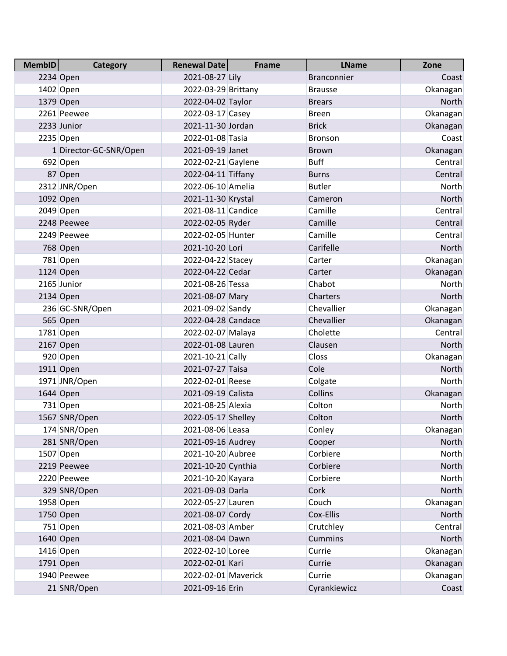| <b>MembID</b> | <b>Category</b>        | <b>Renewal Date</b> | <b>Fname</b> | <b>LName</b>       | Zone         |
|---------------|------------------------|---------------------|--------------|--------------------|--------------|
|               | 2234 Open              | 2021-08-27 Lily     |              | <b>Branconnier</b> | Coast        |
|               | 1402 Open              | 2022-03-29 Brittany |              | <b>Brausse</b>     | Okanagan     |
|               | 1379 Open              | 2022-04-02 Taylor   |              | <b>Brears</b>      | North        |
|               | 2261 Peewee            | 2022-03-17 Casey    |              | <b>Breen</b>       | Okanagan     |
|               | 2233 Junior            | 2021-11-30 Jordan   |              | <b>Brick</b>       | Okanagan     |
|               | 2235 Open              | 2022-01-08 Tasia    |              | <b>Bronson</b>     | Coast        |
|               | 1 Director-GC-SNR/Open | 2021-09-19 Janet    |              | <b>Brown</b>       | Okanagan     |
|               | 692 Open               | 2022-02-21 Gaylene  |              | <b>Buff</b>        | Central      |
|               | 87 Open                | 2022-04-11 Tiffany  |              | <b>Burns</b>       | Central      |
|               | 2312 JNR/Open          | 2022-06-10 Amelia   |              | <b>Butler</b>      | North        |
|               | 1092 Open              | 2021-11-30 Krystal  |              | Cameron            | North        |
|               | 2049 Open              | 2021-08-11 Candice  |              | Camille            | Central      |
|               | 2248 Peewee            | 2022-02-05 Ryder    |              | Camille            | Central      |
|               | 2249 Peewee            | 2022-02-05 Hunter   |              | Camille            | Central      |
|               | 768 Open               | 2021-10-20 Lori     |              | Carifelle          | North        |
|               | 781 Open               | 2022-04-22 Stacey   |              | Carter             | Okanagan     |
|               | 1124 Open              | 2022-04-22 Cedar    |              | Carter             | Okanagan     |
|               | 2165 Junior            | 2021-08-26 Tessa    |              | Chabot             | North        |
|               | 2134 Open              | 2021-08-07 Mary     |              | Charters           | North        |
|               | 236 GC-SNR/Open        | 2021-09-02 Sandy    |              | Chevallier         | Okanagan     |
|               | 565 Open               | 2022-04-28 Candace  |              | Chevallier         | Okanagan     |
|               | 1781 Open              | 2022-02-07 Malaya   |              | Cholette           | Central      |
|               | 2167 Open              | 2022-01-08 Lauren   |              | Clausen            | North        |
|               | 920 Open               | 2021-10-21 Cally    |              | Closs              | Okanagan     |
|               | 1911 Open              | 2021-07-27 Taisa    |              | Cole               | North        |
|               | 1971 JNR/Open          | 2022-02-01 Reese    |              | Colgate            | North        |
|               | 1644 Open              | 2021-09-19 Calista  |              | Collins            | Okanagan     |
|               | 731 Open               | 2021-08-25 Alexia   |              | Colton             | North        |
|               | 1567 SNR/Open          | 2022-05-17 Shelley  |              | Colton             | North        |
|               | 174 SNR/Open           | 2021-08-06 Leasa    |              | Conley             | Okanagan     |
|               | 281 SNR/Open           | 2021-09-16 Audrey   |              | Cooper             | <b>North</b> |
|               | 1507 Open              | 2021-10-20 Aubree   |              | Corbiere           | North        |
|               | 2219 Peewee            | 2021-10-20 Cynthia  |              | Corbiere           | <b>North</b> |
|               | 2220 Peewee            | 2021-10-20 Kayara   |              | Corbiere           | North        |
|               | 329 SNR/Open           | 2021-09-03 Darla    |              | Cork               | North        |
|               | 1958 Open              | 2022-05-27 Lauren   |              | Couch              | Okanagan     |
|               | 1750 Open              | 2021-08-07 Cordy    |              | Cox-Ellis          | North        |
|               | 751 Open               | 2021-08-03 Amber    |              | Crutchley          | Central      |
|               | 1640 Open              | 2021-08-04 Dawn     |              | Cummins            | North        |
|               | 1416 Open              | 2022-02-10 Loree    |              | Currie             | Okanagan     |
|               | 1791 Open              | 2022-02-01 Kari     |              | Currie             | Okanagan     |
|               | 1940 Peewee            | 2022-02-01 Maverick |              | Currie             | Okanagan     |
|               | 21 SNR/Open            | 2021-09-16 Erin     |              | Cyrankiewicz       | Coast        |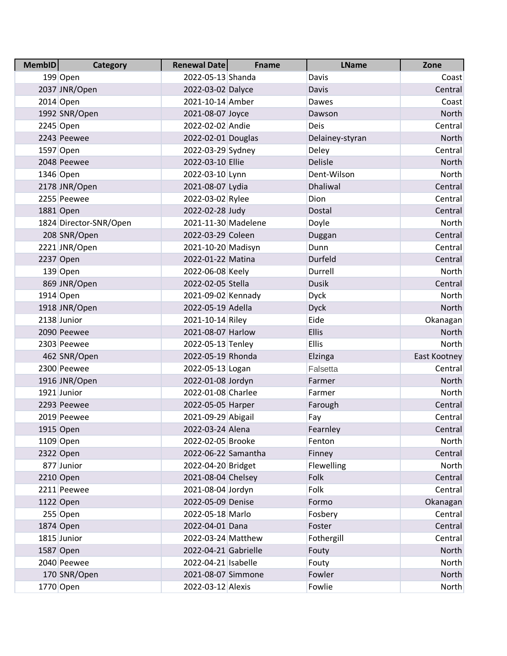| <b>MembID</b> | <b>Category</b>        | <b>Renewal Date</b>   | <b>Fname</b> | <b>LName</b>    | Zone         |
|---------------|------------------------|-----------------------|--------------|-----------------|--------------|
|               | 199 Open               | 2022-05-13 Shanda     |              | Davis           | Coast        |
|               | 2037 JNR/Open          | 2022-03-02 Dalyce     |              | Davis           | Central      |
|               | 2014 Open              | 2021-10-14 Amber      |              | Dawes           | Coast        |
|               | 1992 SNR/Open          | 2021-08-07 Joyce      |              | Dawson          | North        |
|               | 2245 Open              | 2022-02-02 Andie      |              | <b>Deis</b>     | Central      |
|               | 2243 Peewee            | 2022-02-01 Douglas    |              | Delainey-styran | North        |
|               | 1597 Open              | 2022-03-29 Sydney     |              | Deley           | Central      |
|               | 2048 Peewee            | 2022-03-10 Ellie      |              | Delisle         | North        |
|               | 1346 Open              | 2022-03-10 Lynn       |              | Dent-Wilson     | North        |
|               | 2178 JNR/Open          | 2021-08-07 Lydia      |              | Dhaliwal        | Central      |
|               | 2255 Peewee            | 2022-03-02 Rylee      |              | Dion            | Central      |
|               | 1881 Open              | 2022-02-28 Judy       |              | Dostal          | Central      |
|               | 1824 Director-SNR/Open | 2021-11-30 Madelene   |              | Doyle           | North        |
|               | 208 SNR/Open           | 2022-03-29 Coleen     |              | Duggan          | Central      |
|               | 2221 JNR/Open          | 2021-10-20 Madisyn    |              | Dunn            | Central      |
|               | 2237 Open              | 2022-01-22 Matina     |              | Durfeld         | Central      |
|               | 139 Open               | 2022-06-08 Keely      |              | Durrell         | North        |
|               | 869 JNR/Open           | 2022-02-05 Stella     |              | <b>Dusik</b>    | Central      |
|               | $1914$ Open            | 2021-09-02 Kennady    |              | <b>Dyck</b>     | North        |
|               | 1918 JNR/Open          | 2022-05-19 Adella     |              | <b>Dyck</b>     | North        |
|               | 2138 Junior            | 2021-10-14 Riley      |              | Eide            | Okanagan     |
|               | 2090 Peewee            | 2021-08-07 Harlow     |              | <b>Ellis</b>    | North        |
|               | 2303 Peewee            | 2022-05-13 Tenley     |              | <b>Ellis</b>    | North        |
|               | 462 SNR/Open           | 2022-05-19 Rhonda     |              | Elzinga         | East Kootney |
|               | 2300 Peewee            | 2022-05-13 Logan      |              | Falsetta        | Central      |
|               | 1916 JNR/Open          | 2022-01-08 Jordyn     |              | Farmer          | <b>North</b> |
|               | 1921 Junior            | 2022-01-08 Charlee    |              | Farmer          | North        |
|               | 2293 Peewee            | 2022-05-05 Harper     |              | Farough         | Central      |
|               | 2019 Peewee            | 2021-09-29 Abigail    |              | Fay             | Central      |
|               | 1915 Open              | 2022-03-24 Alena      |              | Fearnley        | Central      |
|               | 1109 Open              | 2022-02-05 Brooke     |              | Fenton          | North        |
|               | 2322 Open              | 2022-06-22 Samantha   |              | Finney          | Central      |
|               | 877 Junior             | 2022-04-20 Bridget    |              | Flewelling      | <b>North</b> |
|               | 2210 Open              | 2021-08-04 Chelsey    |              | Folk            | Central      |
|               | 2211 Peewee            | 2021-08-04 Jordyn     |              | Folk            | Central      |
|               | 1122 Open              | 2022-05-09 Denise     |              | Formo           | Okanagan     |
|               | 255 Open               | 2022-05-18 Marlo      |              | Fosbery         | Central      |
|               | 1874 Open              | 2022-04-01 Dana       |              | Foster          | Central      |
|               | 1815 Junior            | 2022-03-24 Matthew    |              | Fothergill      | Central      |
|               | 1587 Open              | 2022-04-21 Gabrielle  |              | Fouty           | North        |
|               | 2040 Peewee            | 2022-04-21   Isabelle |              | Fouty           | North        |
|               | 170 SNR/Open           | 2021-08-07 Simmone    |              | Fowler          | North        |
|               | 1770 Open              | 2022-03-12 Alexis     |              | Fowlie          | <b>North</b> |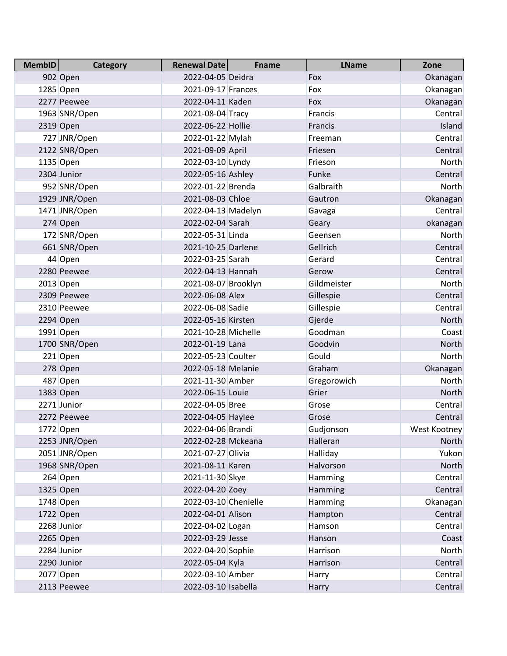| <b>MembID</b> | <b>Category</b> | Renewal Date         | <b>Fname</b> | <b>LName</b> | Zone         |
|---------------|-----------------|----------------------|--------------|--------------|--------------|
|               | 902 Open        | 2022-04-05 Deidra    |              | Fox          | Okanagan     |
|               | 1285 Open       | 2021-09-17 Frances   |              | Fox          | Okanagan     |
|               | 2277 Peewee     | 2022-04-11 Kaden     |              | Fox          | Okanagan     |
|               | 1963 SNR/Open   | 2021-08-04 Tracy     |              | Francis      | Central      |
|               | 2319 Open       | 2022-06-22 Hollie    |              | Francis      | Island       |
|               | 727 JNR/Open    | 2022-01-22 Mylah     |              | Freeman      | Central      |
|               | 2122 SNR/Open   | 2021-09-09 April     |              | Friesen      | Central      |
|               | 1135 Open       | 2022-03-10 Lyndy     |              | Frieson      | North        |
|               | 2304 Junior     | 2022-05-16 Ashley    |              | Funke        | Central      |
|               | 952 SNR/Open    | 2022-01-22 Brenda    |              | Galbraith    | North        |
|               | 1929 JNR/Open   | 2021-08-03 Chloe     |              | Gautron      | Okanagan     |
|               | 1471 JNR/Open   | 2022-04-13 Madelyn   |              | Gavaga       | Central      |
|               | 274 Open        | 2022-02-04 Sarah     |              | Geary        | okanagan     |
|               | 172 SNR/Open    | 2022-05-31 Linda     |              | Geensen      | North        |
|               | 661 SNR/Open    | 2021-10-25 Darlene   |              | Gellrich     | Central      |
|               | 44 Open         | 2022-03-25 Sarah     |              | Gerard       | Central      |
|               | 2280 Peewee     | 2022-04-13 Hannah    |              | Gerow        | Central      |
|               | 2013 Open       | 2021-08-07 Brooklyn  |              | Gildmeister  | North        |
|               | 2309 Peewee     | 2022-06-08 Alex      |              | Gillespie    | Central      |
|               | 2310 Peewee     | 2022-06-08 Sadie     |              | Gillespie    | Central      |
|               | 2294 Open       | 2022-05-16 Kirsten   |              | Gjerde       | North        |
|               | 1991 Open       | 2021-10-28 Michelle  |              | Goodman      | Coast        |
|               | 1700 SNR/Open   | 2022-01-19 Lana      |              | Goodvin      | North        |
|               | $221$ Open      | 2022-05-23 Coulter   |              | Gould        | North        |
|               | 278 Open        | 2022-05-18 Melanie   |              | Graham       | Okanagan     |
|               | 487 Open        | 2021-11-30 Amber     |              | Gregorowich  | <b>North</b> |
|               | 1383 Open       | 2022-06-15 Louie     |              | Grier        | North        |
|               | 2271 Junior     | 2022-04-05 Bree      |              | Grose        | Central      |
|               | 2272 Peewee     | 2022-04-05 Haylee    |              | Grose        | Central      |
|               | 1772 Open       | 2022-04-06 Brandi    |              | Gudjonson    | West Kootney |
|               | 2253 JNR/Open   | 2022-02-28 Mckeana   |              | Halleran     | <b>North</b> |
|               | 2051 JNR/Open   | 2021-07-27 Olivia    |              | Halliday     | Yukon        |
|               | 1968 SNR/Open   | 2021-08-11 Karen     |              | Halvorson    | <b>North</b> |
|               | 264 Open        | 2021-11-30 Skye      |              | Hamming      | Central      |
|               | 1325 Open       | 2022-04-20 Zoey      |              | Hamming      | Central      |
|               | 1748 Open       | 2022-03-10 Chenielle |              | Hamming      | Okanagan     |
|               | 1722 Open       | 2022-04-01 Alison    |              | Hampton      | Central      |
|               | 2268 Junior     | 2022-04-02 Logan     |              | Hamson       | Central      |
|               | 2265 Open       | 2022-03-29 Jesse     |              | Hanson       | Coast        |
|               | 2284 Junior     | 2022-04-20 Sophie    |              | Harrison     | <b>North</b> |
|               | 2290 Junior     | 2022-05-04 Kyla      |              | Harrison     | Central      |
|               | 2077 Open       | 2022-03-10 Amber     |              | Harry        | Central      |
|               | 2113 Peewee     | 2022-03-10 Isabella  |              | Harry        | Central      |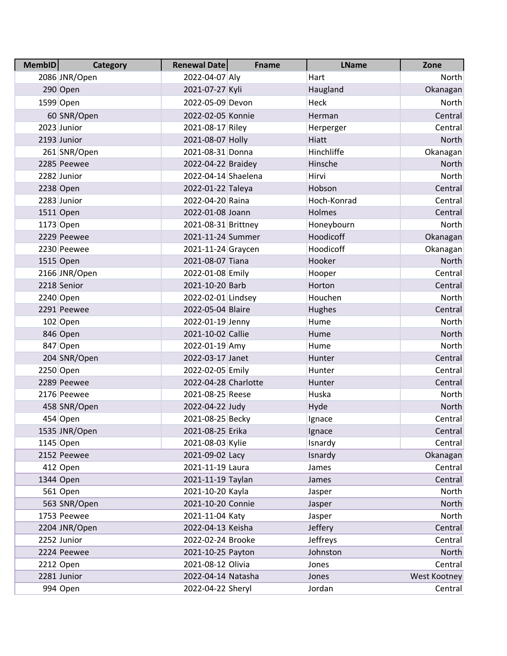| <b>MembID</b> | <b>Category</b> | <b>Renewal Date</b>  | <b>Fname</b> | <b>LName</b> | Zone         |
|---------------|-----------------|----------------------|--------------|--------------|--------------|
|               | 2086 JNR/Open   | 2022-04-07 Aly       |              | Hart         | North        |
|               | 290 Open        | 2021-07-27 Kyli      |              | Haugland     | Okanagan     |
|               | 1599 Open       | 2022-05-09 Devon     |              | Heck         | North        |
|               | 60 SNR/Open     | 2022-02-05 Konnie    |              | Herman       | Central      |
|               | 2023 Junior     | 2021-08-17 Riley     |              | Herperger    | Central      |
|               | 2193 Junior     | 2021-08-07 Holly     |              | Hiatt        | North        |
|               | 261 SNR/Open    | 2021-08-31 Donna     |              | Hinchliffe   | Okanagan     |
|               | 2285 Peewee     | 2022-04-22 Braidey   |              | Hinsche      | North        |
|               | 2282 Junior     | 2022-04-14 Shaelena  |              | Hirvi        | North        |
|               | 2238 Open       | 2022-01-22 Taleya    |              | Hobson       | Central      |
|               | 2283 Junior     | 2022-04-20 Raina     |              | Hoch-Konrad  | Central      |
|               | 1511 Open       | 2022-01-08 Joann     |              | Holmes       | Central      |
|               | 1173 Open       | 2021-08-31 Brittney  |              | Honeybourn   | North        |
|               | 2229 Peewee     | 2021-11-24 Summer    |              | Hoodicoff    | Okanagan     |
|               | 2230 Peewee     | 2021-11-24 Graycen   |              | Hoodicoff    | Okanagan     |
|               | 1515 Open       | 2021-08-07 Tiana     |              | Hooker       | North        |
|               | 2166 JNR/Open   | 2022-01-08 Emily     |              | Hooper       | Central      |
|               | 2218 Senior     | 2021-10-20 Barb      |              | Horton       | Central      |
|               | 2240 Open       | 2022-02-01 Lindsey   |              | Houchen      | North        |
|               | 2291 Peewee     | 2022-05-04 Blaire    |              | Hughes       | Central      |
|               | 102 Open        | 2022-01-19 Jenny     |              | Hume         | North        |
|               | 846 Open        | 2021-10-02 Callie    |              | Hume         | North        |
|               | 847 Open        | 2022-01-19 Amy       |              | Hume         | North        |
|               | 204 SNR/Open    | 2022-03-17 Janet     |              | Hunter       | Central      |
|               | 2250 Open       | 2022-02-05 Emily     |              | Hunter       | Central      |
|               | 2289 Peewee     | 2022-04-28 Charlotte |              | Hunter       | Central      |
|               | 2176 Peewee     | 2021-08-25 Reese     |              | Huska        | North        |
|               | 458 SNR/Open    | 2022-04-22 Judy      |              | Hyde         | North        |
|               | 454 Open        | 2021-08-25 Becky     |              | Ignace       | Central      |
|               | 1535 JNR/Open   | 2021-08-25 Erika     |              | Ignace       | Central      |
|               | 1145 Open       | 2021-08-03 Kylie     |              | Isnardy      | Central      |
|               | 2152 Peewee     | 2021-09-02 Lacy      |              | Isnardy      | Okanagan     |
|               | 412 Open        | 2021-11-19 Laura     |              | James        | Central      |
|               | 1344 Open       | 2021-11-19 Taylan    |              | James        | Central      |
|               | 561 Open        | 2021-10-20 Kayla     |              | Jasper       | North        |
|               | 563 SNR/Open    | 2021-10-20 Connie    |              | Jasper       | North        |
|               | 1753 Peewee     | 2021-11-04 Katy      |              | Jasper       | North        |
|               | 2204 JNR/Open   | 2022-04-13 Keisha    |              | Jeffery      | Central      |
|               | 2252 Junior     | 2022-02-24 Brooke    |              | Jeffreys     | Central      |
|               | 2224 Peewee     | 2021-10-25 Payton    |              | Johnston     | North        |
|               | 2212 Open       | 2021-08-12 Olivia    |              | Jones        | Central      |
|               | 2281 Junior     | 2022-04-14 Natasha   |              | Jones        | West Kootney |
|               | 994 Open        | 2022-04-22 Sheryl    |              | Jordan       | Central      |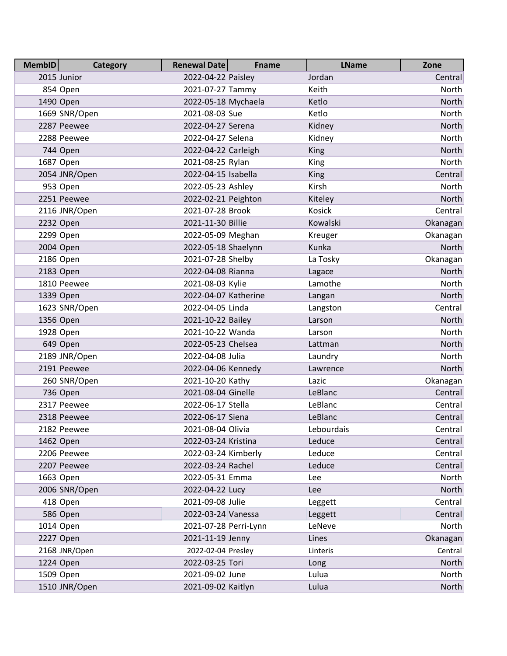| <b>MembID</b> | <b>Category</b> | <b>Renewal Date</b>   | <b>Fname</b> | <b>LName</b> | Zone         |
|---------------|-----------------|-----------------------|--------------|--------------|--------------|
|               | 2015 Junior     | 2022-04-22 Paisley    |              | Jordan       | Central      |
|               | 854 Open        | 2021-07-27 Tammy      |              | Keith        | North        |
|               | 1490 Open       | 2022-05-18 Mychaela   |              | Ketlo        | <b>North</b> |
|               | 1669 SNR/Open   | 2021-08-03 Sue        |              | Ketlo        | North        |
|               | 2287 Peewee     | 2022-04-27 Serena     |              | Kidney       | North        |
|               | 2288 Peewee     | 2022-04-27 Selena     |              | Kidney       | North        |
|               | 744 Open        | 2022-04-22 Carleigh   |              | King         | North        |
|               | 1687 Open       | 2021-08-25 Rylan      |              | King         | North        |
|               | 2054 JNR/Open   | 2022-04-15 Isabella   |              | King         | Central      |
|               | 953 Open        | 2022-05-23 Ashley     |              | Kirsh        | North        |
|               | 2251 Peewee     | 2022-02-21 Peighton   |              | Kiteley      | North        |
|               | 2116 JNR/Open   | 2021-07-28 Brook      |              | Kosick       | Central      |
|               | 2232 Open       | 2021-11-30 Billie     |              | Kowalski     | Okanagan     |
|               | 2299 Open       | 2022-05-09 Meghan     |              | Kreuger      | Okanagan     |
|               | 2004 Open       | 2022-05-18 Shaelynn   |              | Kunka        | North        |
|               | 2186 Open       | 2021-07-28 Shelby     |              | La Tosky     | Okanagan     |
|               | 2183 Open       | 2022-04-08 Rianna     |              | Lagace       | North        |
|               | 1810 Peewee     | 2021-08-03 Kylie      |              | Lamothe      | North        |
|               | 1339 Open       | 2022-04-07 Katherine  |              | Langan       | North        |
|               | 1623 SNR/Open   | 2022-04-05 Linda      |              | Langston     | Central      |
|               | 1356 Open       | 2021-10-22 Bailey     |              | Larson       | North        |
|               | 1928 Open       | 2021-10-22 Wanda      |              | Larson       | North        |
|               | 649 Open        | 2022-05-23 Chelsea    |              | Lattman      | North        |
|               | 2189 JNR/Open   | 2022-04-08 Julia      |              | Laundry      | North        |
|               | 2191 Peewee     | 2022-04-06 Kennedy    |              | Lawrence     | North        |
|               | 260 SNR/Open    | 2021-10-20 Kathy      |              | Lazic        | Okanagan     |
|               | 736 Open        | 2021-08-04 Ginelle    |              | LeBlanc      | Central      |
|               | 2317 Peewee     | 2022-06-17 Stella     |              | LeBlanc      | Central      |
|               | 2318 Peewee     | 2022-06-17 Siena      |              | LeBlanc      | Central      |
|               | 2182 Peewee     | 2021-08-04 Olivia     |              | Lebourdais   | Central      |
|               | 1462 Open       | 2022-03-24 Kristina   |              | Leduce       | Central      |
|               | 2206 Peewee     | 2022-03-24 Kimberly   |              | Leduce       | Central      |
|               | 2207 Peewee     | 2022-03-24 Rachel     |              | Leduce       | Central      |
|               | 1663 Open       | 2022-05-31 Emma       |              | Lee          | North        |
|               | 2006 SNR/Open   | 2022-04-22 Lucy       |              | Lee          | North        |
|               | 418 Open        | 2021-09-08 Julie      |              | Leggett      | Central      |
|               | 586 Open        | 2022-03-24 Vanessa    |              | Leggett      | Central      |
|               | 1014 Open       | 2021-07-28 Perri-Lynn |              | LeNeve       | North        |
|               | 2227 Open       | 2021-11-19 Jenny      |              | Lines        | Okanagan     |
|               | 2168 JNR/Open   | 2022-02-04 Presley    |              | Linteris     | Central      |
|               | 1224 Open       | 2022-03-25 Tori       |              | Long         | North        |
|               | 1509 Open       | 2021-09-02 June       |              | Lulua        | North        |
|               | 1510 JNR/Open   | 2021-09-02 Kaitlyn    |              | Lulua        | North        |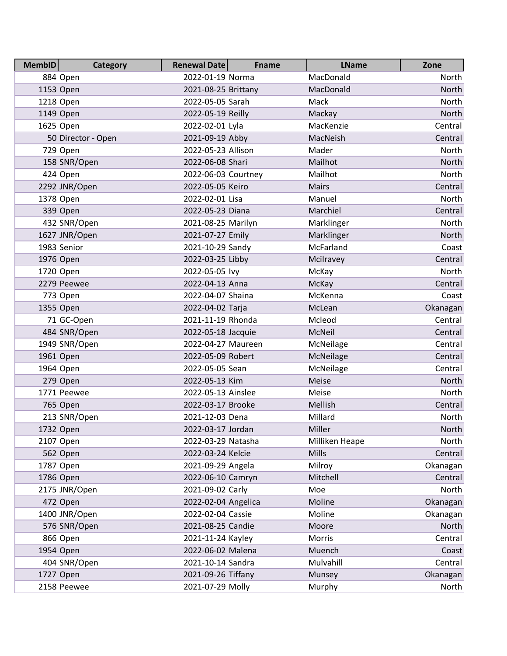| <b>MembID</b> | Category           | <b>Renewal Date</b> | <b>Fname</b> | <b>LName</b>   | Zone     |
|---------------|--------------------|---------------------|--------------|----------------|----------|
|               | 884 Open           | 2022-01-19 Norma    |              | MacDonald      | North    |
|               | 1153 Open          | 2021-08-25 Brittany |              | MacDonald      | North    |
|               | 1218 Open          | 2022-05-05 Sarah    |              | Mack           | North    |
|               | 1149 Open          | 2022-05-19 Reilly   |              | Mackay         | North    |
|               | 1625 Open          | 2022-02-01 Lyla     |              | MacKenzie      | Central  |
|               | 50 Director - Open | 2021-09-19 Abby     |              | MacNeish       | Central  |
|               | 729 Open           | 2022-05-23 Allison  |              | Mader          | North    |
|               | 158 SNR/Open       | 2022-06-08 Shari    |              | Mailhot        | North    |
|               | 424 Open           | 2022-06-03 Courtney |              | Mailhot        | North    |
|               | 2292 JNR/Open      | 2022-05-05 Keiro    |              | Mairs          | Central  |
|               | 1378 Open          | 2022-02-01 Lisa     |              | Manuel         | North    |
|               | 339 Open           | 2022-05-23 Diana    |              | Marchiel       | Central  |
|               | 432 SNR/Open       | 2021-08-25 Marilyn  |              | Marklinger     | North    |
|               | 1627 JNR/Open      | 2021-07-27 Emily    |              | Marklinger     | North    |
|               | 1983 Senior        | 2021-10-29 Sandy    |              | McFarland      | Coast    |
|               | 1976 Open          | 2022-03-25 Libby    |              | Mcilravey      | Central  |
|               | 1720 Open          | 2022-05-05 lvy      |              | McKay          | North    |
|               | 2279 Peewee        | 2022-04-13 Anna     |              | McKay          | Central  |
|               | 773 Open           | 2022-04-07 Shaina   |              | McKenna        | Coast    |
|               | 1355 Open          | 2022-04-02 Tarja    |              | McLean         | Okanagan |
|               | 71 GC-Open         | 2021-11-19 Rhonda   |              | Mcleod         | Central  |
|               | 484 SNR/Open       | 2022-05-18 Jacquie  |              | McNeil         | Central  |
|               | 1949 SNR/Open      | 2022-04-27 Maureen  |              | McNeilage      | Central  |
|               | 1961 Open          | 2022-05-09 Robert   |              | McNeilage      | Central  |
|               | 1964 Open          | 2022-05-05 Sean     |              | McNeilage      | Central  |
|               | 279 Open           | 2022-05-13 Kim      |              | Meise          | North    |
|               | 1771 Peewee        | 2022-05-13 Ainslee  |              | Meise          | North    |
|               | 765 Open           | 2022-03-17 Brooke   |              | Mellish        | Central  |
|               | 213 SNR/Open       | 2021-12-03 Dena     |              | Millard        | North    |
|               | 1732 Open          | 2022-03-17 Jordan   |              | Miller         | North    |
|               | 2107 Open          | 2022-03-29 Natasha  |              | Milliken Heape | North    |
|               | 562 Open           | 2022-03-24 Kelcie   |              | Mills          | Central  |
|               | 1787 Open          | 2021-09-29 Angela   |              | Milroy         | Okanagan |
|               | 1786 Open          | 2022-06-10 Camryn   |              | Mitchell       | Central  |
|               | 2175 JNR/Open      | 2021-09-02 Carly    |              | Moe            | North    |
|               | 472 Open           | 2022-02-04 Angelica |              | Moline         | Okanagan |
|               | 1400 JNR/Open      | 2022-02-04 Cassie   |              | Moline         | Okanagan |
|               | 576 SNR/Open       | 2021-08-25 Candie   |              | Moore          | North    |
|               | 866 Open           | 2021-11-24 Kayley   |              | Morris         | Central  |
|               | 1954 Open          | 2022-06-02 Malena   |              | Muench         | Coast    |
|               | 404 SNR/Open       | 2021-10-14 Sandra   |              | Mulvahill      | Central  |
|               | 1727 Open          | 2021-09-26 Tiffany  |              | Munsey         | Okanagan |
|               | 2158 Peewee        | 2021-07-29 Molly    |              | Murphy         | North    |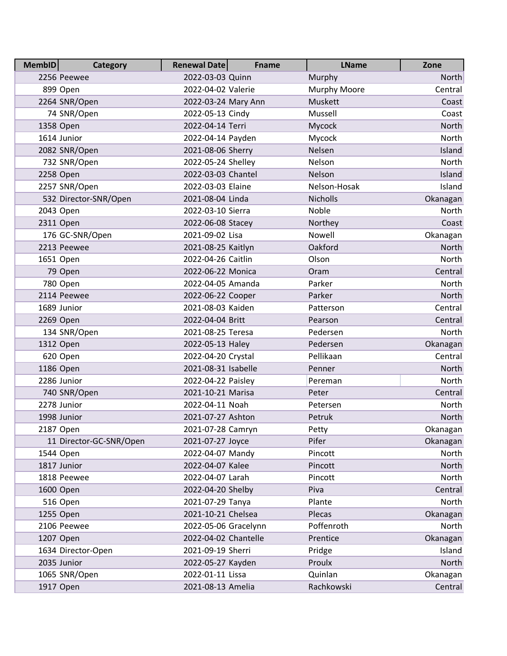| <b>MembID</b> | <b>Category</b>         | <b>Renewal Date</b>  | <b>Fname</b> | <b>LName</b> | Zone         |
|---------------|-------------------------|----------------------|--------------|--------------|--------------|
|               | 2256 Peewee             | 2022-03-03 Quinn     |              | Murphy       | <b>North</b> |
|               | 899 Open                | 2022-04-02 Valerie   |              | Murphy Moore | Central      |
|               | 2264 SNR/Open           | 2022-03-24 Mary Ann  |              | Muskett      | Coast        |
|               | 74 SNR/Open             | 2022-05-13 Cindy     |              | Mussell      | Coast        |
|               | 1358 Open               | 2022-04-14 Terri     |              | Mycock       | North        |
|               | 1614 Junior             | 2022-04-14 Payden    |              | Mycock       | North        |
|               | 2082 SNR/Open           | 2021-08-06 Sherry    |              | Nelsen       | Island       |
|               | 732 SNR/Open            | 2022-05-24 Shelley   |              | Nelson       | North        |
|               | 2258 Open               | 2022-03-03 Chantel   |              | Nelson       | Island       |
|               | 2257 SNR/Open           | 2022-03-03 Elaine    |              | Nelson-Hosak | Island       |
|               | 532 Director-SNR/Open   | 2021-08-04 Linda     |              | Nicholls     | Okanagan     |
|               | 2043 Open               | 2022-03-10 Sierra    |              | Noble        | North        |
|               | 2311 Open               | 2022-06-08 Stacey    |              | Northey      | Coast        |
|               | 176 GC-SNR/Open         | 2021-09-02 Lisa      |              | Nowell       | Okanagan     |
|               | 2213 Peewee             | 2021-08-25 Kaitlyn   |              | Oakford      | North        |
|               | 1651 Open               | 2022-04-26 Caitlin   |              | Olson        | North        |
|               | 79 Open                 | 2022-06-22 Monica    |              | Oram         | Central      |
|               | 780 Open                | 2022-04-05 Amanda    |              | Parker       | <b>North</b> |
|               | 2114 Peewee             | 2022-06-22 Cooper    |              | Parker       | North        |
|               | 1689 Junior             | 2021-08-03 Kaiden    |              | Patterson    | Central      |
|               | 2269 Open               | 2022-04-04 Britt     |              | Pearson      | Central      |
|               | 134 SNR/Open            | 2021-08-25 Teresa    |              | Pedersen     | North        |
|               | 1312 Open               | 2022-05-13 Haley     |              | Pedersen     | Okanagan     |
|               | 620 Open                | 2022-04-20 Crystal   |              | Pellikaan    | Central      |
|               | 1186 Open               | 2021-08-31 Isabelle  |              | Penner       | North        |
|               | 2286 Junior             | 2022-04-22 Paisley   |              | Pereman      | North        |
|               | 740 SNR/Open            | 2021-10-21 Marisa    |              | Peter        | Central      |
|               | 2278 Junior             | 2022-04-11 Noah      |              | Petersen     | North        |
|               | 1998 Junior             | 2021-07-27 Ashton    |              | Petruk       | North        |
|               | 2187 Open               | 2021-07-28 Camryn    |              | Petty        | Okanagan     |
|               | 11 Director-GC-SNR/Open | 2021-07-27 Joyce     |              | Pifer        | Okanagan     |
|               | 1544 Open               | 2022-04-07 Mandy     |              | Pincott      | North        |
|               | 1817 Junior             | 2022-04-07 Kalee     |              | Pincott      | North        |
|               | 1818 Peewee             | 2022-04-07 Larah     |              | Pincott      | North        |
|               | 1600 Open               | 2022-04-20 Shelby    |              | Piva         | Central      |
|               | 516 Open                | 2021-07-29 Tanya     |              | Plante       | North        |
|               | 1255 Open               | 2021-10-21 Chelsea   |              | Plecas       | Okanagan     |
|               | 2106 Peewee             | 2022-05-06 Gracelynn |              | Poffenroth   | North        |
|               | 1207 Open               | 2022-04-02 Chantelle |              | Prentice     | Okanagan     |
|               | 1634 Director-Open      | 2021-09-19 Sherri    |              | Pridge       | Island       |
|               | 2035 Junior             | 2022-05-27 Kayden    |              | Proulx       | North        |
|               | 1065 SNR/Open           | 2022-01-11 Lissa     |              | Quinlan      | Okanagan     |
|               | 1917 Open               | 2021-08-13 Amelia    |              | Rachkowski   | Central      |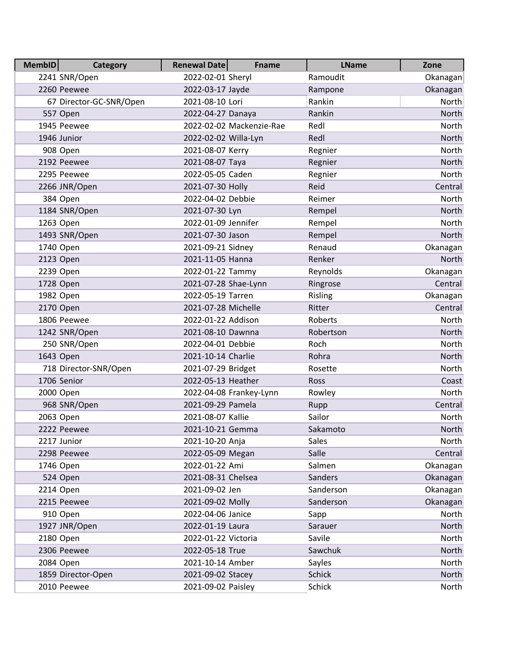| <b>MembID</b> | <b>Category</b>         | <b>Renewal Date</b>  | <b>Fname</b>             | <b>LName</b>  | Zone     |
|---------------|-------------------------|----------------------|--------------------------|---------------|----------|
|               | 2241 SNR/Open           | 2022-02-01 Sheryl    |                          | Ramoudit      | Okanagan |
|               | 2260 Peewee             | 2022-03-17 Jayde     |                          | Rampone       | Okanagan |
|               | 67 Director-GC-SNR/Open | 2021-08-10 Lori      |                          | Rankin        | North    |
|               | 557 Open                | 2022-04-27 Danaya    |                          | Rankin        | North    |
|               | 1945 Peewee             |                      | 2022-02-02 Mackenzie-Rae | Redl          | North    |
|               | 1946 Junior             | 2022-02-02 Willa-Lyn |                          | Redl          | North    |
|               | 908 Open                | 2021-08-07 Kerry     |                          | Regnier       | North    |
|               | 2192 Peewee             | 2021-08-07 Taya      |                          | Regnier       | North    |
|               | 2295 Peewee             | 2022-05-05 Caden     |                          | Regnier       | North    |
|               | 2266 JNR/Open           | 2021-07-30 Holly     |                          | Reid          | Central  |
|               | 384 Open                | 2022-04-02 Debbie    |                          | Reimer        | North    |
|               | 1184 SNR/Open           | 2021-07-30 Lyn       |                          | Rempel        | North    |
|               | 1263 Open               | 2022-01-09 Jennifer  |                          | Rempel        | North    |
|               | 1493 SNR/Open           | 2021-07-30 Jason     |                          | Rempel        | North    |
|               | 1740 Open               | 2021-09-21 Sidney    |                          | Renaud        | Okanagan |
|               | 2123 Open               | 2021-11-05 Hanna     |                          | Renker        | North    |
|               | 2239 Open               | 2022-01-22 Tammy     |                          | Reynolds      | Okanagan |
|               | 1728 Open               | 2021-07-28 Shae-Lynn |                          | Ringrose      | Central  |
|               | 1982 Open               | 2022-05-19 Tarren    |                          | Risling       | Okanagan |
|               | 2170 Open               | 2021-07-28 Michelle  |                          | Ritter        | Central  |
|               | 1806 Peewee             | 2022-01-22 Addison   |                          | Roberts       | North    |
|               | 1242 SNR/Open           | 2021-08-10 Dawnna    |                          | Robertson     | North    |
|               | 250 SNR/Open            | 2022-04-01 Debbie    |                          | Roch          | North    |
|               | 1643 Open               | 2021-10-14 Charlie   |                          | Rohra         | North    |
|               | 718 Director-SNR/Open   | 2021-07-29 Bridget   |                          | Rosette       | North    |
|               | 1706 Senior             | 2022-05-13 Heather   |                          | Ross          | Coast    |
|               | 2000 Open               |                      | 2022-04-08 Frankey-Lynn  | Rowley        | North    |
|               | 968 SNR/Open            | 2021-09-29 Pamela    |                          | Rupp          | Central  |
|               | 2063 Open               | 2021-08-07 Kallie    |                          | Sailor        | North    |
|               | 2222 Peewee             | 2021-10-21 Gemma     |                          | Sakamoto      | North    |
|               | 2217 Junior             | 2021-10-20 Anja      |                          | <b>Sales</b>  | North    |
|               | 2298 Peewee             | 2022-05-09 Megan     |                          | Salle         | Central  |
|               | 1746 Open               | 2022-01-22 Ami       |                          | Salmen        | Okanagan |
|               | 524 Open                | 2021-08-31 Chelsea   |                          | Sanders       | Okanagan |
|               | 2214 Open               | 2021-09-02 Jen       |                          | Sanderson     | Okanagan |
|               | 2215 Peewee             | 2021-09-02 Molly     |                          | Sanderson     | Okanagan |
|               | 910 Open                | 2022-04-06 Janice    |                          | Sapp          | North    |
|               | 1927 JNR/Open           | 2022-01-19 Laura     |                          | Sarauer       | North    |
|               | 2180 Open               | 2022-01-22 Victoria  |                          | Savile        | North    |
|               | 2306 Peewee             | 2022-05-18 True      |                          | Sawchuk       | North    |
|               | 2084 Open               | 2021-10-14 Amber     |                          | Sayles        | North    |
|               | 1859 Director-Open      | 2021-09-02 Stacey    |                          | <b>Schick</b> | North    |
|               | 2010 Peewee             | 2021-09-02 Paisley   |                          | <b>Schick</b> | North    |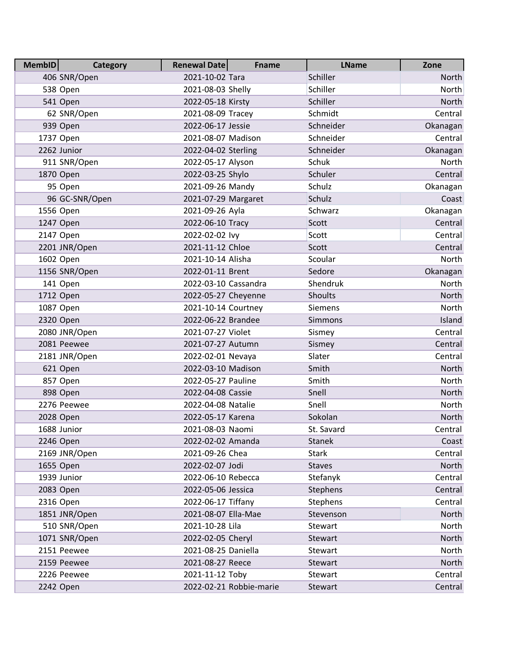| <b>MembID</b> | Category       | <b>Renewal Date</b>  | <b>Fname</b>            | <b>LName</b>  | Zone         |
|---------------|----------------|----------------------|-------------------------|---------------|--------------|
|               | 406 SNR/Open   | 2021-10-02 Tara      |                         | Schiller      | North        |
|               | 538 Open       | 2021-08-03 Shelly    |                         | Schiller      | North        |
|               | 541 Open       | 2022-05-18 Kirsty    |                         | Schiller      | North        |
|               | 62 SNR/Open    | 2021-08-09 Tracey    |                         | Schmidt       | Central      |
|               | 939 Open       | 2022-06-17 Jessie    |                         | Schneider     | Okanagan     |
|               | 1737 Open      | 2021-08-07 Madison   |                         | Schneider     | Central      |
|               | 2262 Junior    | 2022-04-02 Sterling  |                         | Schneider     | Okanagan     |
|               | 911 SNR/Open   | 2022-05-17 Alyson    |                         | Schuk         | North        |
|               | 1870 Open      | 2022-03-25 Shylo     |                         | Schuler       | Central      |
|               | 95 Open        | 2021-09-26 Mandy     |                         | Schulz        | Okanagan     |
|               | 96 GC-SNR/Open | 2021-07-29 Margaret  |                         | Schulz        | Coast        |
|               | 1556 Open      | 2021-09-26 Ayla      |                         | Schwarz       | Okanagan     |
|               | 1247 Open      | 2022-06-10 Tracy     |                         | Scott         | Central      |
|               | 2147 Open      | 2022-02-02 lvy       |                         | Scott         | Central      |
|               | 2201 JNR/Open  | 2021-11-12 Chloe     |                         | Scott         | Central      |
|               | 1602 Open      | 2021-10-14 Alisha    |                         | Scoular       | North        |
|               | 1156 SNR/Open  | 2022-01-11 Brent     |                         | Sedore        | Okanagan     |
|               | 141 Open       | 2022-03-10 Cassandra |                         | Shendruk      | North        |
|               | 1712 Open      | 2022-05-27 Cheyenne  |                         | Shoults       | North        |
|               | 1087 Open      | 2021-10-14 Courtney  |                         | Siemens       | North        |
|               | 2320 Open      | 2022-06-22 Brandee   |                         | Simmons       | Island       |
|               | 2080 JNR/Open  | 2021-07-27 Violet    |                         | Sismey        | Central      |
|               | 2081 Peewee    | 2021-07-27 Autumn    |                         | Sismey        | Central      |
|               | 2181 JNR/Open  | 2022-02-01 Nevaya    |                         | Slater        | Central      |
|               | 621 Open       | 2022-03-10 Madison   |                         | Smith         | North        |
|               | 857 Open       | 2022-05-27 Pauline   |                         | Smith         | North        |
|               | 898 Open       | 2022-04-08 Cassie    |                         | Snell         | North        |
|               | 2276 Peewee    | 2022-04-08 Natalie   |                         | Snell         | North        |
|               | 2028 Open      | 2022-05-17 Karena    |                         | Sokolan       | North        |
|               | 1688 Junior    | 2021-08-03 Naomi     |                         | St. Savard    | Central      |
|               | 2246 Open      | 2022-02-02 Amanda    |                         | <b>Stanek</b> | Coast        |
|               | 2169 JNR/Open  | 2021-09-26 Chea      |                         | <b>Stark</b>  | Central      |
|               | 1655 Open      | 2022-02-07 Jodi      |                         | <b>Staves</b> | North        |
|               | 1939 Junior    | 2022-06-10 Rebecca   |                         | Stefanyk      | Central      |
|               | 2083 Open      | 2022-05-06 Jessica   |                         | Stephens      | Central      |
|               | 2316 Open      | 2022-06-17 Tiffany   |                         | Stephens      | Central      |
|               | 1851 JNR/Open  | 2021-08-07 Ella-Mae  |                         | Stevenson     | <b>North</b> |
|               | 510 SNR/Open   | 2021-10-28 Lila      |                         | Stewart       | North        |
|               | 1071 SNR/Open  | 2022-02-05 Cheryl    |                         | Stewart       | North        |
|               | 2151 Peewee    | 2021-08-25 Daniella  |                         | Stewart       | North        |
|               | 2159 Peewee    | 2021-08-27 Reece     |                         | Stewart       | North        |
|               | 2226 Peewee    | 2021-11-12 Toby      |                         | Stewart       | Central      |
|               | 2242 Open      |                      | 2022-02-21 Robbie-marie | Stewart       | Central      |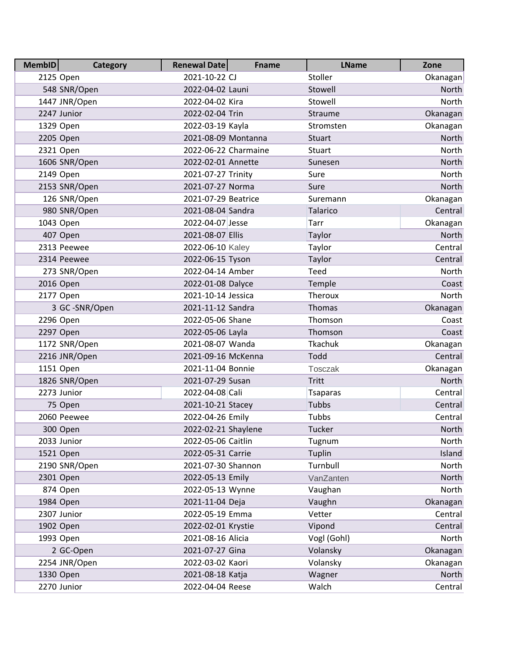| Memb <sub>ID</sub> | <b>Category</b> | <b>Renewal Date</b>  | <b>Fname</b> | <b>LName</b>    | Zone         |
|--------------------|-----------------|----------------------|--------------|-----------------|--------------|
|                    | 2125 Open       | 2021-10-22 CJ        |              | Stoller         | Okanagan     |
|                    | 548 SNR/Open    | 2022-04-02 Launi     |              | Stowell         | North        |
|                    | 1447 JNR/Open   | 2022-04-02 Kira      |              | Stowell         | <b>North</b> |
|                    | 2247 Junior     | 2022-02-04 Trin      |              | Straume         | Okanagan     |
|                    | 1329 Open       | 2022-03-19 Kayla     |              | Stromsten       | Okanagan     |
|                    | 2205 Open       | 2021-08-09 Montanna  |              | <b>Stuart</b>   | North        |
|                    | 2321 Open       | 2022-06-22 Charmaine |              | Stuart          | North        |
|                    | 1606 SNR/Open   | 2022-02-01 Annette   |              | Sunesen         | North        |
|                    | 2149 Open       | 2021-07-27 Trinity   |              | Sure            | North        |
|                    | 2153 SNR/Open   | 2021-07-27 Norma     |              | Sure            | North        |
|                    | 126 SNR/Open    | 2021-07-29 Beatrice  |              | Suremann        | Okanagan     |
|                    | 980 SNR/Open    | 2021-08-04 Sandra    |              | Talarico        | Central      |
|                    | 1043 Open       | 2022-04-07 Jesse     |              | Tarr            | Okanagan     |
|                    | 407 Open        | 2021-08-07 Ellis     |              | Taylor          | North        |
|                    | 2313 Peewee     | 2022-06-10 Kaley     |              | Taylor          | Central      |
|                    | 2314 Peewee     | 2022-06-15 Tyson     |              | Taylor          | Central      |
|                    | 273 SNR/Open    | 2022-04-14 Amber     |              | Teed            | North        |
|                    | 2016 Open       | 2022-01-08 Dalyce    |              | Temple          | Coast        |
|                    | 2177 Open       | 2021-10-14 Jessica   |              | Theroux         | North        |
|                    | 3 GC-SNR/Open   | 2021-11-12 Sandra    |              | Thomas          | Okanagan     |
|                    | 2296 Open       | 2022-05-06 Shane     |              | Thomson         | Coast        |
|                    | 2297 Open       | 2022-05-06 Layla     |              | Thomson         | Coast        |
|                    | 1172 SNR/Open   | 2021-08-07 Wanda     |              | Tkachuk         | Okanagan     |
|                    | 2216 JNR/Open   | 2021-09-16 McKenna   |              | Todd            | Central      |
|                    | 1151 Open       | 2021-11-04 Bonnie    |              | <b>Tosczak</b>  | Okanagan     |
|                    | 1826 SNR/Open   | 2021-07-29 Susan     |              | Tritt           | North        |
|                    | 2273 Junior     | 2022-04-08 Cali      |              | <b>Tsaparas</b> | Central      |
|                    | 75 Open         | 2021-10-21 Stacey    |              | <b>Tubbs</b>    | Central      |
|                    | 2060 Peewee     | 2022-04-26 Emily     |              | Tubbs           | Central      |
|                    | 300 Open        | 2022-02-21 Shaylene  |              | Tucker          | North        |
|                    | 2033 Junior     | 2022-05-06 Caitlin   |              | Tugnum          | North        |
|                    | 1521 Open       | 2022-05-31 Carrie    |              | Tuplin          | Island       |
|                    | 2190 SNR/Open   | 2021-07-30 Shannon   |              | Turnbull        | North        |
|                    | 2301 Open       | 2022-05-13 Emily     |              | VanZanten       | North        |
|                    | 874 Open        | 2022-05-13 Wynne     |              | Vaughan         | North        |
|                    | 1984 Open       | 2021-11-04 Deja      |              | Vaughn          | Okanagan     |
|                    | 2307 Junior     | 2022-05-19 Emma      |              | Vetter          | Central      |
|                    | 1902 Open       | 2022-02-01 Krystie   |              | Vipond          | Central      |
|                    | 1993 Open       | 2021-08-16 Alicia    |              | Vogl (Gohl)     | North        |
|                    | 2 GC-Open       | 2021-07-27 Gina      |              | Volansky        | Okanagan     |
|                    | 2254 JNR/Open   | 2022-03-02 Kaori     |              | Volansky        | Okanagan     |
|                    | 1330 Open       | 2021-08-18 Katja     |              | Wagner          | North        |
|                    | 2270 Junior     | 2022-04-04 Reese     |              | Walch           | Central      |